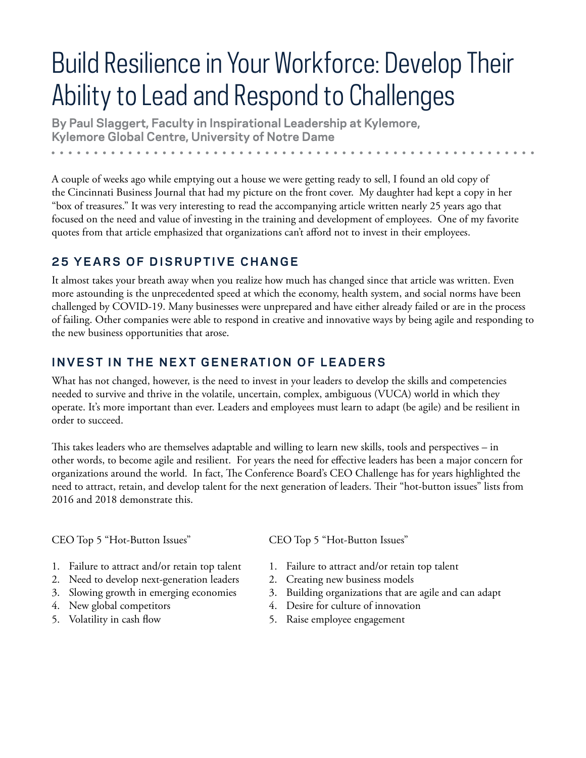# Build Resilience in Your Workforce: Develop Their Ability to Lead and Respond to Challenges

**By Paul Slaggert, Faculty in Inspirational Leadership at Kylemore, Kylemore Global Centre, University of Notre Dame**  

A couple of weeks ago while emptying out a house we were getting ready to sell, I found an old copy of the Cincinnati Business Journal that had my picture on the front cover. My daughter had kept a copy in her "box of treasures." It was very interesting to read the accompanying article written nearly 25 years ago that focused on the need and value of investing in the training and development of employees. One of my favorite quotes from that article emphasized that organizations can't afford not to invest in their employees.

### **25 YEARS OF DISRUPTIVE CHANGE**

It almost takes your breath away when you realize how much has changed since that article was written. Even more astounding is the unprecedented speed at which the economy, health system, and social norms have been challenged by COVID-19. Many businesses were unprepared and have either already failed or are in the process of failing. Other companies were able to respond in creative and innovative ways by being agile and responding to the new business opportunities that arose.

### **INVEST IN THE NEXT GENERATION OF LEADERS**

What has not changed, however, is the need to invest in your leaders to develop the skills and competencies needed to survive and thrive in the volatile, uncertain, complex, ambiguous (VUCA) world in which they operate. It's more important than ever. Leaders and employees must learn to adapt (be agile) and be resilient in order to succeed.

This takes leaders who are themselves adaptable and willing to learn new skills, tools and perspectives – in other words, to become agile and resilient. For years the need for effective leaders has been a major concern for organizations around the world. In fact, The Conference Board's CEO Challenge has for years highlighted the need to attract, retain, and develop talent for the next generation of leaders. Their "hot-button issues" lists from 2016 and 2018 demonstrate this.

CEO Top 5 "Hot-Button Issues"

- CEO Top 5 "Hot-Button Issues"
- 1. Failure to attract and/or retain top talent
- 2. Need to develop next-generation leaders
- 3. Slowing growth in emerging economies
- 4. New global competitors
- 5. Volatility in cash flow
- 
- 1. Failure to attract and/or retain top talent
- 2. Creating new business models
- 3. Building organizations that are agile and can adapt
- 4. Desire for culture of innovation
- 5. Raise employee engagement